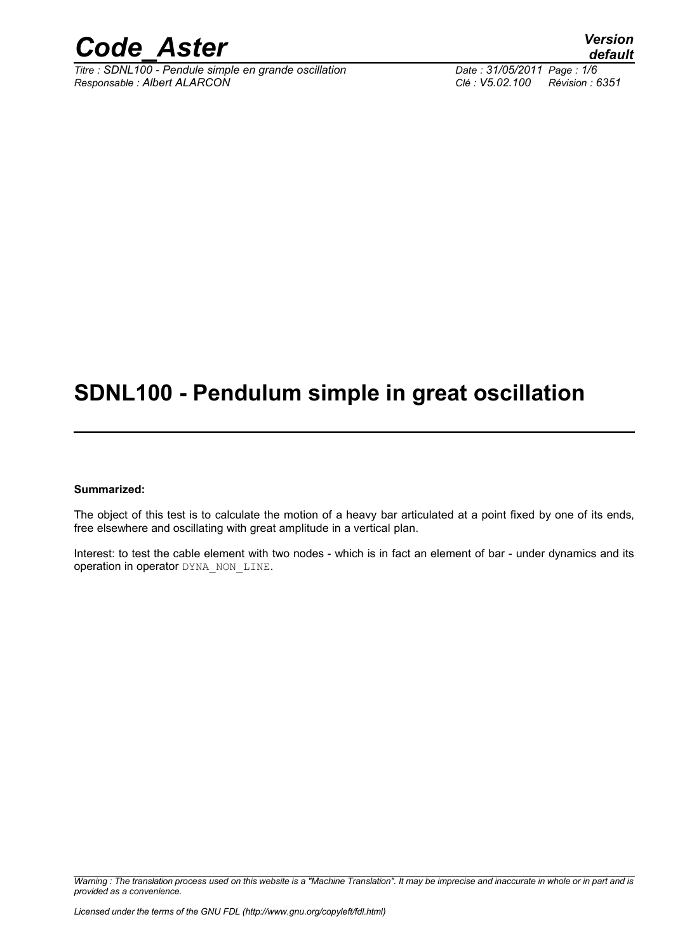

*Titre : SDNL100 - Pendule simple en grande oscillation Date : 31/05/2011 Page : 1/6 Responsable : Albert ALARCON Clé : V5.02.100 Révision : 6351*

# **SDNL100 - Pendulum simple in great oscillation**

#### **Summarized:**

The object of this test is to calculate the motion of a heavy bar articulated at a point fixed by one of its ends, free elsewhere and oscillating with great amplitude in a vertical plan.

Interest: to test the cable element with two nodes - which is in fact an element of bar - under dynamics and its operation in operator DYNA\_NON\_LINE.

*Warning : The translation process used on this website is a "Machine Translation". It may be imprecise and inaccurate in whole or in part and is provided as a convenience.*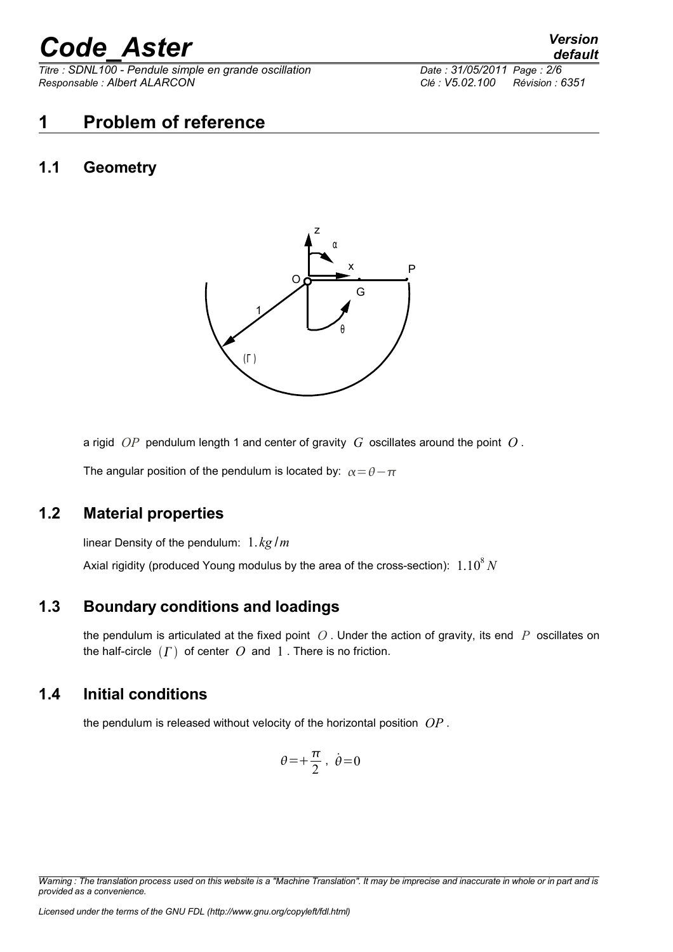*Titre : SDNL100 - Pendule simple en grande oscillation Date : 31/05/2011 Page : 2/6 Responsable : Albert ALARCON Clé : V5.02.100 Révision : 6351*

### **1 Problem of reference**

#### **1.1 Geometry**



a rigid *OP* pendulum length 1 and center of gravity *G* oscillates around the point *O* .

The angular position of the pendulum is located by:  $\alpha = \theta - \pi$ 

#### **1.2 Material properties**

linear Density of the pendulum: 1. *kg* /*m*

Axial rigidity (produced Young modulus by the area of the cross-section):  $~1.10^{8}\,N$ 

#### **1.3 Boundary conditions and loadings**

the pendulum is articulated at the fixed point *O* . Under the action of gravity, its end *P* oscillates on the half-circle  $(\Gamma)$  of center  $O$  and  $1$ . There is no friction.

#### **1.4 Initial conditions**

the pendulum is released without velocity of the horizontal position *OP* .

$$
\theta = +\frac{\pi}{2}, \ \dot{\theta} = 0
$$

*Warning : The translation process used on this website is a "Machine Translation". It may be imprecise and inaccurate in whole or in part and is provided as a convenience.*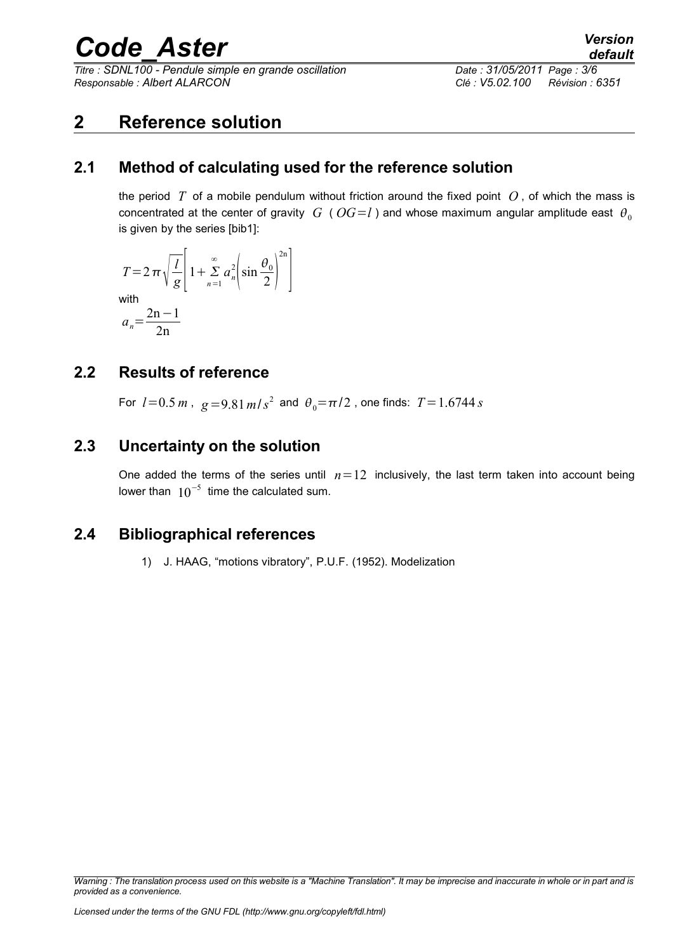*Titre : SDNL100 - Pendule simple en grande oscillation Date : 31/05/2011 Page : 3/6 Responsable : Albert ALARCON Clé : V5.02.100 Révision : 6351*

*default*

### **2 Reference solution**

#### **2.1 Method of calculating used for the reference solution**

the period *T* of a mobile pendulum without friction around the fixed point *O* , of which the mass is concentrated at the center of gravity *G* (*OG*=*l*) and whose maximum angular amplitude east  $\theta_0$ is given by the series [bib1]:

$$
T = 2 \pi \sqrt{\frac{l}{g}} \left[ 1 + \sum_{n=1}^{\infty} a_n^2 \left( \sin \frac{\theta_0}{2} \right)^{2n} \right]
$$
  
with  

$$
a_n = \frac{2n-1}{2n}
$$

#### **2.2 Results of reference**

For  $l = 0.5$   $m$  ,  $g = 9.81$   $m/s^2$  and  $\theta_0 = \pi/2$  , one finds:  $T = 1.6744$   $s$ 

#### **2.3 Uncertainty on the solution**

One added the terms of the series until  $n=12$  inclusively, the last term taken into account being lower than  $10^{-5}$  time the calculated sum.

#### **2.4 Bibliographical references**

1) J. HAAG, "motions vibratory", P.U.F. (1952). Modelization

*Warning : The translation process used on this website is a "Machine Translation". It may be imprecise and inaccurate in whole or in part and is provided as a convenience.*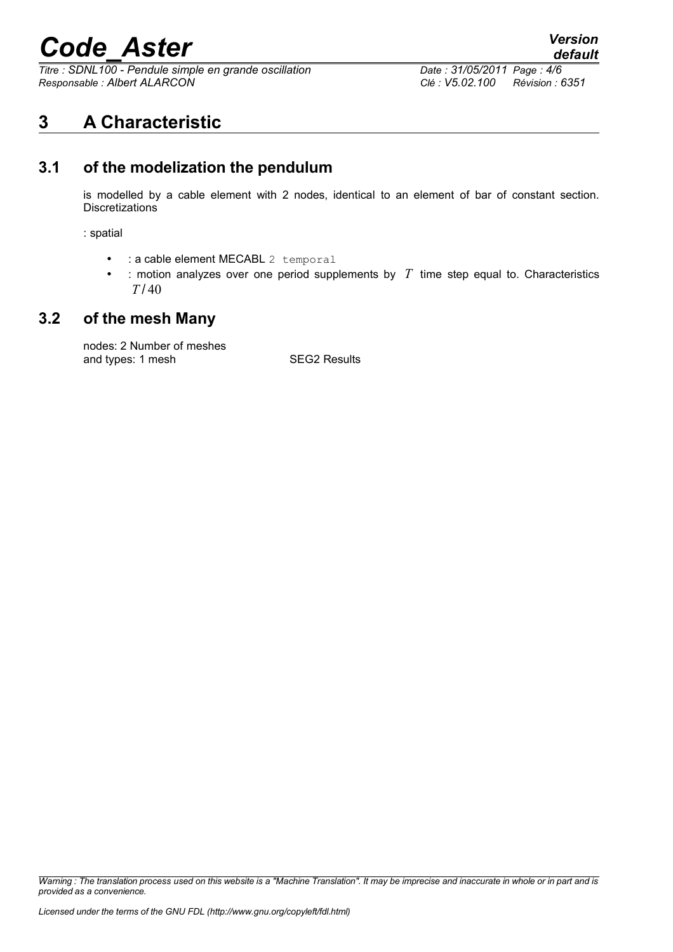*Titre : SDNL100 - Pendule simple en grande oscillation Date : 31/05/2011 Page : 4/6 Responsable : Albert ALARCON Clé : V5.02.100 Révision : 6351*

### **3 A Characteristic**

#### **3.1 of the modelization the pendulum**

is modelled by a cable element with 2 nodes, identical to an element of bar of constant section. **Discretizations** 

: spatial

- : a cable element MECABL 2 temporal
- : motion analyzes over one period supplements by  $T$  time step equal to. Characteristics *T* / 40

#### **3.2 of the mesh Many**

nodes: 2 Number of meshes and types: 1 mesh SEG2 Results

*Warning : The translation process used on this website is a "Machine Translation". It may be imprecise and inaccurate in whole or in part and is provided as a convenience.*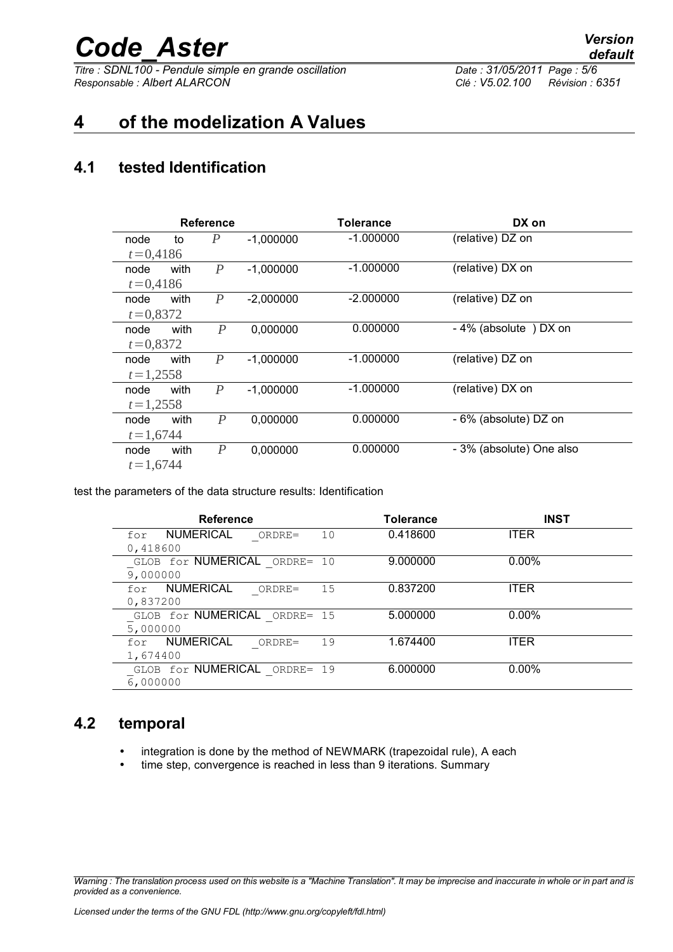*Titre : SDNL100 - Pendule simple en grande oscillation Date : 31/05/2011 Page : 5/6 Responsable : Albert ALARCON Clé : V5.02.100 Révision : 6351*

### **4 of the modelization A Values**

#### **4.1 tested Identification**

| <b>Reference</b> |      |                  |             | <b>Tolerance</b> | DX on                    |
|------------------|------|------------------|-------------|------------------|--------------------------|
| node             | to   | P                | $-1,000000$ | $-1.000000$      | (relative) DZ on         |
| $t = 0,4186$     |      |                  |             |                  |                          |
| node             | with | $\overline{P}$   | $-1,000000$ | $-1.000000$      | (relative) DX on         |
| $t = 0,4186$     |      |                  |             |                  |                          |
| node             | with | P                | $-2,000000$ | $-2.000000$      | (relative) DZ on         |
| $t = 0,8372$     |      |                  |             |                  |                          |
| node             | with | P                | 0,000000    | 0.000000         | -4% (absolute) DX on     |
| $t = 0.8372$     |      |                  |             |                  |                          |
| node             | with | $\boldsymbol{P}$ | $-1,000000$ | $-1.000000$      | (relative) DZ on         |
| $t = 1,2558$     |      |                  |             |                  |                          |
| node             | with | $\boldsymbol{P}$ | $-1,000000$ | $-1.000000$      | (relative) DX on         |
| $t = 1,2558$     |      |                  |             |                  |                          |
| node             | with | P                | 0,000000    | 0.000000         | - 6% (absolute) DZ on    |
| $t = 1,6744$     |      |                  |             |                  |                          |
| node             | with | $\boldsymbol{P}$ | 0,000000    | 0.000000         | - 3% (absolute) One also |
| $t = 1,6744$     |      |                  |             |                  |                          |

test the parameters of the data structure results: Identification

| <b>Reference</b>                           | <b>Tolerance</b> | <b>INST</b> |
|--------------------------------------------|------------------|-------------|
| NUMERICAL<br>10<br>ORDRE=<br>for           | 0.418600         | <b>ITER</b> |
| 0,418600                                   |                  |             |
| GLOB for NUMERICAL ORDRE= 10               | 9.000000         | $0.00\%$    |
| 9,000000                                   |                  |             |
| <b>NUMERICAL</b><br>15<br>ORDRE=<br>for    | 0.837200         | <b>ITER</b> |
| 0,837200                                   |                  |             |
| GLOB for NUMERICAL ORDRE= 15               | 5.000000         | $0.00\%$    |
| 5,000000                                   |                  |             |
| <b>NUMERICAL</b><br>19<br>$ORDRE =$<br>for | 1.674400         | <b>ITER</b> |
| 1,674400                                   |                  |             |
| GLOB for NUMERICAL ORDRE= 19               | 6.000000         | $0.00\%$    |
| 6,000000                                   |                  |             |

#### **4.2 temporal**

- integration is done by the method of NEWMARK (trapezoidal rule), A each
- time step, convergence is reached in less than 9 iterations. Summary

*Warning : The translation process used on this website is a "Machine Translation". It may be imprecise and inaccurate in whole or in part and is provided as a convenience.*